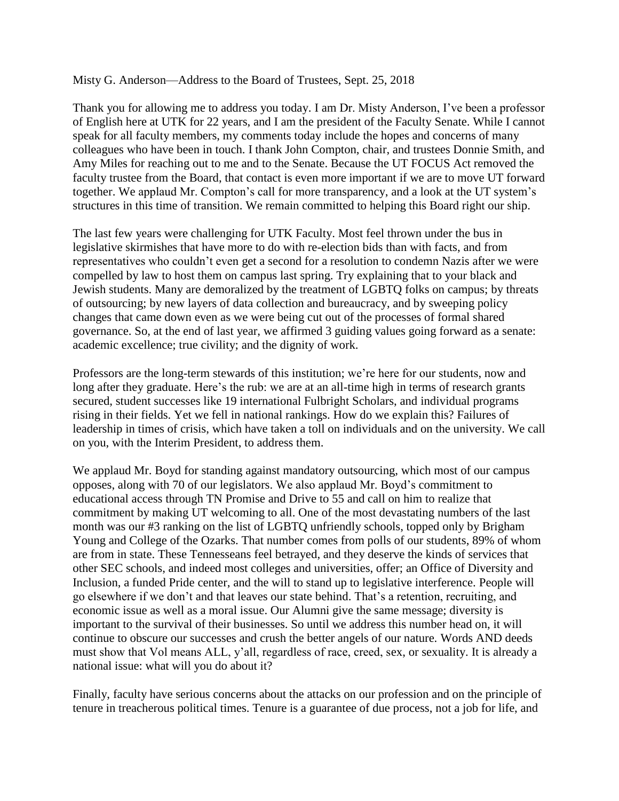Misty G. Anderson—Address to the Board of Trustees, Sept. 25, 2018

Thank you for allowing me to address you today. I am Dr. Misty Anderson, I've been a professor of English here at UTK for 22 years, and I am the president of the Faculty Senate. While I cannot speak for all faculty members, my comments today include the hopes and concerns of many colleagues who have been in touch. I thank John Compton, chair, and trustees Donnie Smith, and Amy Miles for reaching out to me and to the Senate. Because the UT FOCUS Act removed the faculty trustee from the Board, that contact is even more important if we are to move UT forward together. We applaud Mr. Compton's call for more transparency, and a look at the UT system's structures in this time of transition. We remain committed to helping this Board right our ship.

The last few years were challenging for UTK Faculty. Most feel thrown under the bus in legislative skirmishes that have more to do with re-election bids than with facts, and from representatives who couldn't even get a second for a resolution to condemn Nazis after we were compelled by law to host them on campus last spring. Try explaining that to your black and Jewish students. Many are demoralized by the treatment of LGBTQ folks on campus; by threats of outsourcing; by new layers of data collection and bureaucracy, and by sweeping policy changes that came down even as we were being cut out of the processes of formal shared governance. So, at the end of last year, we affirmed 3 guiding values going forward as a senate: academic excellence; true civility; and the dignity of work.

Professors are the long-term stewards of this institution; we're here for our students, now and long after they graduate. Here's the rub: we are at an all-time high in terms of research grants secured, student successes like 19 international Fulbright Scholars, and individual programs rising in their fields. Yet we fell in national rankings. How do we explain this? Failures of leadership in times of crisis, which have taken a toll on individuals and on the university. We call on you, with the Interim President, to address them.

We applaud Mr. Boyd for standing against mandatory outsourcing, which most of our campus opposes, along with 70 of our legislators. We also applaud Mr. Boyd's commitment to educational access through TN Promise and Drive to 55 and call on him to realize that commitment by making UT welcoming to all. One of the most devastating numbers of the last month was our #3 ranking on the list of LGBTQ unfriendly schools, topped only by Brigham Young and College of the Ozarks. That number comes from polls of our students, 89% of whom are from in state. These Tennesseans feel betrayed, and they deserve the kinds of services that other SEC schools, and indeed most colleges and universities, offer; an Office of Diversity and Inclusion, a funded Pride center, and the will to stand up to legislative interference. People will go elsewhere if we don't and that leaves our state behind. That's a retention, recruiting, and economic issue as well as a moral issue. Our Alumni give the same message; diversity is important to the survival of their businesses. So until we address this number head on, it will continue to obscure our successes and crush the better angels of our nature. Words AND deeds must show that Vol means ALL, y'all, regardless of race, creed, sex, or sexuality. It is already a national issue: what will you do about it?

Finally, faculty have serious concerns about the attacks on our profession and on the principle of tenure in treacherous political times. Tenure is a guarantee of due process, not a job for life, and